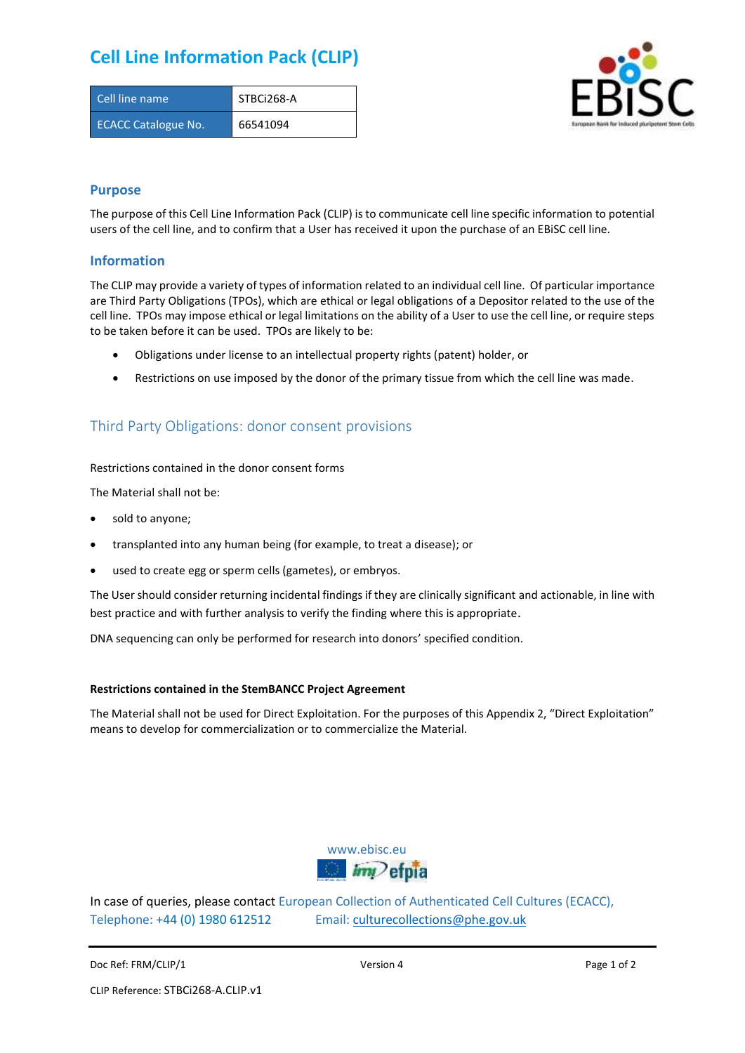# **Cell Line Information Pack (CLIP)**

| Cell line name             | STBCi268-A |
|----------------------------|------------|
| <b>ECACC Catalogue No.</b> | 66541094   |



### **Purpose**

The purpose of this Cell Line Information Pack (CLIP) is to communicate cell line specific information to potential users of the cell line, and to confirm that a User has received it upon the purchase of an EBiSC cell line.

### **Information**

The CLIP may provide a variety of types of information related to an individual cell line. Of particular importance are Third Party Obligations (TPOs), which are ethical or legal obligations of a Depositor related to the use of the cell line. TPOs may impose ethical or legal limitations on the ability of a User to use the cell line, or require steps to be taken before it can be used. TPOs are likely to be:

- Obligations under license to an intellectual property rights (patent) holder, or
- Restrictions on use imposed by the donor of the primary tissue from which the cell line was made.

## Third Party Obligations: donor consent provisions

#### Restrictions contained in the donor consent forms

The Material shall not be:

- sold to anyone;
- transplanted into any human being (for example, to treat a disease); or
- used to create egg or sperm cells (gametes), or embryos.

The User should consider returning incidental findings if they are clinically significant and actionable, in line with best practice and with further analysis to verify the finding where this is appropriate.

DNA sequencing can only be performed for research into donors' specified condition.

#### **Restrictions contained in the StemBANCC Project Agreement**

The Material shall not be used for Direct Exploitation. For the purposes of this Appendix 2, "Direct Exploitation" means to develop for commercialization or to commercialize the Material.



In case of queries, please contact European Collection of Authenticated Cell Cultures (ECACC), Telephone: +44 (0) 1980 612512 Email: [culturecollections@phe.gov.uk](mailto:culturecollections@phe.gov.uk)

Doc Ref: FRM/CLIP/1 **Docessition 2** Page 1 of 2